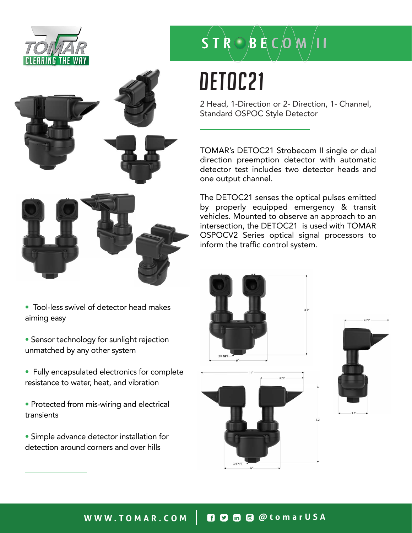



- Tool-less swivel of detector head makes aiming easy
- Sensor technology for sunlight rejection unmatched by any other system
- Fully encapsulated electronics for complete resistance to water, heat, and vibration
- Protected from mis-wiring and electrical transients
- Simple advance detector installation for detection around corners and over hills

# $S T R \bigcirc B R C$   $O$   $M / 11$

# DETOC21

2 Head, 1-Direction or 2- Direction, 1- Channel, Standard OSPOC Style Detector

TOMAR's DETOC21 Strobecom II single or dual direction preemption detector with automatic detector test includes two detector heads and one output channel.

The DETOC21 senses the optical pulses emitted by properly equipped emergency & transit vehicles. Mounted to observe an approach to an intersection, the DETOC21 is used with TOMAR OSPOCV2 Series optical signal processors to inform the traffic control system.